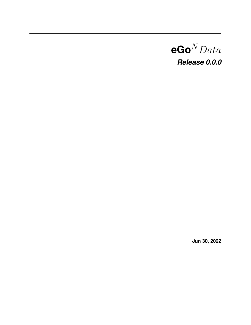# $eGo^N Data$ *Release 0.0.0*

**Jun 30, 2022**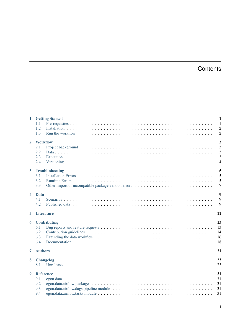# **Contents**

|                  | 1 Getting Started                               | $\mathbf{1}$                                       |
|------------------|-------------------------------------------------|----------------------------------------------------|
|                  | 1.1<br>1.2<br>1.3                               | $\overline{1}$<br>$\overline{2}$<br>$\overline{2}$ |
| $\overline{2}$   | <b>Workflow</b><br>2.1<br>2.2<br>2.3<br>2.4     | 3<br>3<br>3<br>3<br>$\overline{4}$                 |
| 3                | <b>Troubleshooting</b><br>3.1<br>3.2<br>3.3     | 5<br>5<br>5<br>$\overline{7}$                      |
| $\blacktriangle$ | <b>Data</b><br>4.1<br>4.2                       | 9<br>9<br>9                                        |
| 5.               | <b>Literature</b>                               | 11                                                 |
| 6                | <b>Contributing</b><br>6.1<br>6.2<br>6.3<br>6.4 | 13<br>13<br>14<br>16<br>18                         |
| 7                | <b>Authors</b>                                  | 21                                                 |
| 8                | <b>Changelog</b><br>8.1                         | 23<br>23                                           |
| 9                | <b>Reference</b><br>9.1<br>9.2<br>9.3<br>9.4    | 31<br>31<br>31<br>31<br>31                         |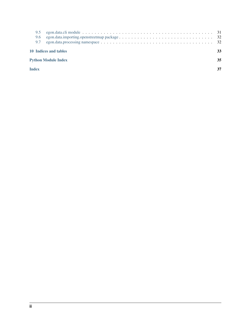|                                  | 9.6<br>9.7   |  |    |  |
|----------------------------------|--------------|--|----|--|
| 10 Indices and tables<br>33      |              |  |    |  |
| <b>Python Module Index</b><br>35 |              |  |    |  |
|                                  | <b>Index</b> |  | 37 |  |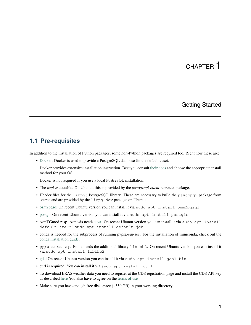### Getting Started

### <span id="page-4-1"></span><span id="page-4-0"></span>**1.1 Pre-requisites**

In addition to the installation of Python packages, some non-Python packages are required too. Right now these are:

- [Docker:](https://docs.docker.com/get-started/) Docker is used to provide a PostgreSQL database (in the default case).
	- Docker provides extensive installation instruction. Best you consult [their docs](https://docs.docker.com/get-docker/) and choose the appropriate install method for your OS.

Docker is not required if you use a local PostreSQL installation.

- The *psql* executable. On Ubuntu, this is provided by the *postgresql-client-common* package.
- Header files for the libpq5 PostgreSQL library. These are necessary to build the psycopq2 package from source and are provided by the libpq-dev package on Ubuntu.
- [osm2pgsql](https://osm2pgsql.org/) On recent Ubuntu version you can install it via sudo apt install osm2pgsql.
- [postgis](https://postgis.net/) On recent Ubuntu version you can install it via sudo apt install postgis.
- osmTGmod resp. osmosis needs [java.](https://www.java.com/) On recent Ubuntu version you can install it via sudo apt install default-jre and sudo apt install default-jdk.
- conda is needed for the subprocess of running pypsa-eur-sec. For the installation of miniconda, check out the [conda installation guide.](https://docs.conda.io/projects/conda/en/latest/user-guide/install/)
- pypsa-eur-sec resp. Fiona needs the additional library libtbb2. On recent Ubuntu version you can install it via sudo apt install libtbb2
- [gdal](https://gdal.org/) On recent Ubuntu version you can install it via sudo apt install gdal-bin.
- curl is required. You can install it via sudo apt install curl.
- To download ERA5 weather data you need to register at the CDS registration page and install the CDS API key as described [here](https://cds.climate.copernicus.eu/api-how-to) You also have to agree on the [terms of use](https://cds.climate.copernicus.eu/cdsapp/#!/terms/licence-to-use-copernicus-products)
- Make sure you have enough free disk space (~350 GB) in your working directory.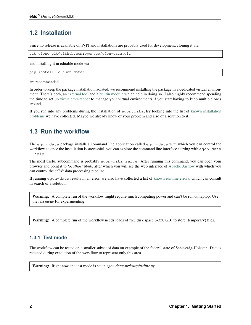# <span id="page-5-0"></span>**1.2 Installation**

Since no release is available on PyPI and installations are probably used for development, cloning it via

```
git clone git@github.com:openego/eGon-data.git
```
and installing it in editable mode via

```
pip install -e eGon-data/
```
are recommended.

In order to keep the package installation isolated, we recommend installing the package in a dedicated virtual environment. There's both, an [external tool](https://virtualenv.pypa.io/en/latest/) and a [builtin module](https://docs.python.org/3/tutorial/venv.html#virtual-environments-and-packages) which help in doing so. I also highly recommend spending the time to set up [virtualenvwrapper](https://virtualenvwrapper.readthedocs.io/en/latest/index.html) to manage your virtual environments if you start having to keep multiple ones around.

If you run into any problems during the installation of egon.data, try looking into the list of [known installation](https://eGon-data.readthedocs.io/en/latest/troubleshooting.html#installation-errors) [problems](https://eGon-data.readthedocs.io/en/latest/troubleshooting.html#installation-errors) we have collected. Maybe we already know of your problem and also of a solution to it.

# <span id="page-5-1"></span>**1.3 Run the workflow**

The egon.data package installs a command line application called egon-data with which you can control the workflow so once the installation is successful, you can explore the command line interface starting with egon-data --help.

The most useful subcommand is probably egon-data serve. After running this command, you can open your browser and point it to *localhost:8080*, after which you will see the web interface of [Apache Airflow](https://airflow.apache.org/docs/apache-airflow/stable/ui.html#ui-screenshots) with which you can control the  $e G o^n$  data processing pipeline.

If running egon-data results in an error, we also have collected a list of [known runtime errors,](https://eGon-data.readthedocs.io/en/latest/troubleshooting.html#runtime-errors) which can consult in search of a solution.

Warning: A complete run of the workflow might require much computing power and can't be run on laptop. Use the *test mode* for experimenting.

Warning: A complete run of the workflow needs loads of free disk space (~350 GB) to store (temporary) files.

### <span id="page-5-2"></span>**1.3.1 Test mode**

The workflow can be tested on a smaller subset of data on example of the federal state of Schleswig-Holstein. Data is reduced during execution of the workflow to represent only this area.

Warning: Right now, the test mode is set in *egon.data/airflow/pipeline.py*.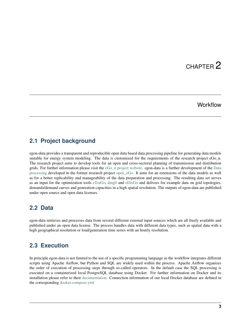## **Workflow**

### <span id="page-6-1"></span><span id="page-6-0"></span>**2.1 Project background**

egon-data provides a transparent and reproducible open data based data processing pipeline for generating data models suitable for energy system modeling. The data is customized for the requirements of the research project eGo\_n. The research project aims to develop tools for an open and cross-sectoral planning of transmission and distribution grids. For further information please visit the [eGo\\_n project website.](https://ego-n.org/) egon-data is a further development of the [Data](https://github.com/openego/data_processing) [processing](https://github.com/openego/data_processing) developed in the former research project [open\\_eGo.](https://openegoproject.wordpress.com/) It aims for an extensions of the data models as well as for a better replicability and manageability of the data preparation and processing. The resulting data set serves as an input for the optimization tools [eTraGo,](https://github.com/openego/eTraGo) [ding0](https://github.com/openego/ding0) and [eDisGo](https://github.com/openego/eDisGo) and delivers for example data on grid topologies, demands/demand curves and generation capacities in a high spatial resolution. The outputs of egon-data are published under open source and open data licenses.

### <span id="page-6-2"></span>**2.2 Data**

egon-data retrieves and processes data from several different external input sources which are all freely available and published under an open data license. The process handles data with different data types, such as spatial data with a high geographical resolution or load/generation time series with an hourly resolution.

### <span id="page-6-3"></span>**2.3 Execution**

In principle egon-data is not limited to the use of a specific programming language as the workflow integrates different scripts using Apache Airflow, but Python and SQL are widely used within the process. Apache Airflow organizes the order of execution of processing steps through so-called operators. In the default case the SQL processing is executed on a containerized local PostgreSQL database using Docker. For further information on Docker and its installation please refer to their [documentation.](https://docs.docker.com/) Connection information of our local Docker database are defined in the corresponding [docker-compose.yml](https://github.com/openego/eGon-data/blob/dev/src/egon/data/airflow/docker-compose.yml)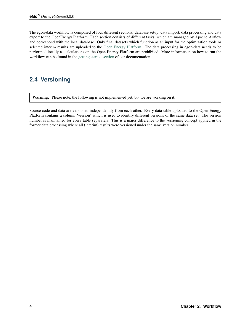The egon-data workflow is composed of four different sections: database setup, data import, data processing and data export to the OpenEnergy Platform. Each section consists of different tasks, which are managed by Apache Airflow and correspond with the local database. Only final datasets which function as an input for the optimization tools or selected interim results are uploaded to the [Open Energy Platform.](https://openenergy-platform.org/) The data processing in egon-data needs to be performed locally as calculations on the Open Energy Platform are prohibited. More information on how to run the workflow can be found in the [getting started section](https://egon-data.readthedocs.io/en/latest/getting_started.html#run-the-workflow) of our documentation.

# <span id="page-7-0"></span>**2.4 Versioning**

Warning: Please note, the following is not implemented yet, but we are working on it.

Source code and data are versioned independendly from each other. Every data table uploaded to the Open Energy Platform contains a column 'version' which is used to identify different versions of the same data set. The version number is maintained for every table separately. This is a major difference to the versioning concept applied in the former data processing where all (interim) results were versioned under the same version number.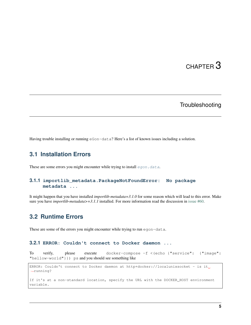## **Troubleshooting**

<span id="page-8-0"></span>Having trouble installing or running eGon-data? Here's a list of known issues including a solution.

### <span id="page-8-1"></span>**3.1 Installation Errors**

These are some errors you might encounter while trying to install [egon.data](#page-34-2).

#### **3.1.1 importlib\_metadata.PackageNotFoundError: No package metadata ...**

It might happen that you have installed *importlib-metadata=3.1.0* for some reason which will lead to this error. Make sure you have *importlib-metadata* $>=3.1.1$  installed. For more information read the discussion in [issue #60.](https://github.com/openego/eGon-data/issues/60)

### <span id="page-8-2"></span>**3.2 Runtime Errors**

These are some of the errors you might encounter while trying to run egon-data.

#### **3.2.1 ERROR: Couldn't connect to Docker daemon ...**

To verify, please execute docker-compose -f <(echo {"service": {"image": "hellow-world"}}) ps and you should see something like

```
ERROR: Couldn't connect to Docker daemon at http+docker://localunixsocket - is it.
˓→running?
If it's at a non-standard location, specify the URL with the DOCKER_HOST environment
variable.
```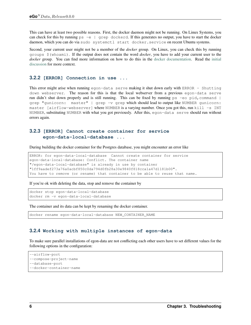This can have at least two possible reasons. First, the docker daemon might not be running. On Linux Systems, you can check for this by running ps -e | grep dockerd. If this generates no output, you have to start the docker daemon, which you can do via sudo systemctl start docker.service on recent Ubuntu systems.

Second, your current user might not be a member of the *docker* group. On Linux, you can check this by running groups \$(whoami). If the output does not contain the word *docker*, you have to add your current user to the *docker* group. You can find more information on how to do this in the [docker documentation.](https://docs.docker.com/engine/install/linux-postinstall/#manage-docker-as-a-non-root-user) Read the [initial](https://github.com/openego/eGon-data/issues/33) [discussion](https://github.com/openego/eGon-data/issues/33) for more context.

#### **3.2.2 [ERROR] Connection in use ...**

This error might arise when running egon-data serve making it shut down early with ERROR - Shutting down webserver. The reason for this is that the local webserver from a previous egon-data serve run didn't shut down properly and is still running. This can be fixed by running  $ps -eo$  pid, command  $|$ grep "gunicorn: master" | grep -v grep which should lead to output like NUMBER gunicorn: master [airflow-webserver] where NUMBER is a varying number. Once you got this, run kill -s INT NUMBER, substituting NUMBER with what you got previously. After this, egon-data serve should run without errors again.

#### **3.2.3 [ERROR] Cannot create container for service egon-data-local-database ...**

During building the docker container for the Postgres database, you might encounter an error like

```
ERROR: for egon-data-local-database Cannot create container for service
egon-data-local-database: Conflict. The container name
"/egon-data-local-database" is already in use by container
"1ff9aadef273a76a0acbf850c0da794d0fb28a30e9840f818cca1a47d1181b00".
You have to remove (or rename) that container to be able to reuse that name.
```
If you're ok with deleting the data, stop and remove the container by

```
docker stop egon-data-local-database
docker rm -v egon-data-local-database
```
The container and its data can be kept by renaming the docker container.

```
docker rename egon-data-local-database NEW_CONTAINER_NAME
```
#### **3.2.4 Working with multiple instances of egon-data**

To make sure parallel installations of egon-data are not conflicting each other users have to set different values for the following options in the configuration:

```
--airflow-port
--compose-project-name
--database-port
--docker-container-name
```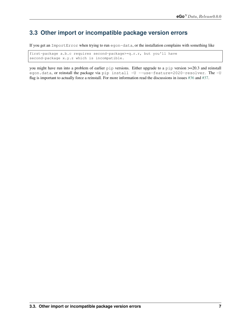## <span id="page-10-0"></span>**3.3 Other import or incompatible package version errors**

If you get an ImportError when trying to run egon-data, or the installation complains with something like

first-package a.b.c requires second-package>=q.r.r, but you'll have second-package x.y.z which is incompatible.

you might have run into a problem of earlier pip versions. Either upgrade to a pip version >=20.3 and reinstall egon.data, or reinstall the package via pip install -U --use-feature=2020-resolver. The -U flag is important to actually force a reinstall. For more information read the discussions in issues [#36](https://github.com/openego/eGon-data/issues/36) and [#37.](https://github.com/openego/eGon-data/issues/37)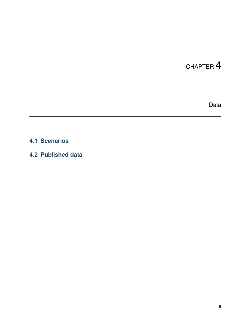Data

# <span id="page-12-1"></span><span id="page-12-0"></span>**4.1 Scenarios**

<span id="page-12-2"></span>**4.2 Published data**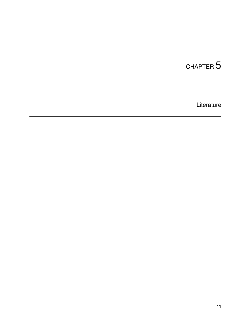<span id="page-14-0"></span>Literature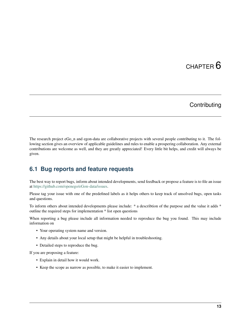## **Contributing**

<span id="page-16-0"></span>The research project eGo\_n and egon-data are collaborative projects with several people contributing to it. The following section gives an overview of applicable guidelines and rules to enable a prospering collaboration. Any external contributions are welcome as well, and they are greatly appreciated! Every little bit helps, and credit will always be given.

### <span id="page-16-1"></span>**6.1 Bug reports and feature requests**

The best way to report bugs, inform about intended developments, send feedback or propose a feature is to file an issue at [https://github.com/openego/eGon-data/issues.](https://github.com/openego/eGon-data/issues)

Please tag your issue with one of the predefined labels as it helps others to keep track of unsolved bugs, open tasks and questions.

To inform others about intended developments please include: \* a describtion of the purpose and the value it adds \* outline the required steps for implementation \* list open questions

When reporting a bug please include all information needed to reproduce the bug you found. This may include information on

- Your operating system name and version.
- Any details about your local setup that might be helpful in troubleshooting.
- Detailed steps to reproduce the bug.

If you are proposing a feature:

- Explain in detail how it would work.
- Keep the scope as narrow as possible, to make it easier to implement.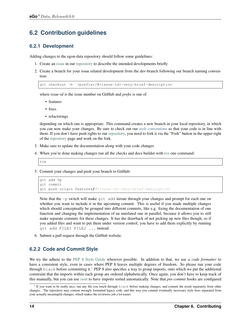# <span id="page-17-0"></span>**6.2 Contribution guidelines**

### **6.2.1 Development**

Adding changes to the egon-data repository should follow some guidelines:

- 1. Create an [issue](https://github.com/openego/eGon-data/issues) in our [repository](https://github.com/openego/eGon-data) to describe the intended developments briefly
- 2. Create a branch for your issue related development from the dev-branch following our branch naming convention:

```
git checkout -b `<prefix>/#<issue-id>-very-brief-description`
```
where *issue-id* is the issue number on GitHub and *prefix* is one of

- features
- fixes
- refactorings

depending on which one is appropriate. This command creates a new branch in your local repository, in which you can now make your changes. Be sure to check out our *[style conventions](#page-17-1)* so that your code is in line with them. If you don't have push rights to our [repository,](https://github.com/openego/eGon-data) you need to fork it via the "Fork" button in the upper right of the [repository](https://github.com/openego/eGon-data) page and work on the fork.

- 3. Make sure to update the documentation along with your code changes
- 4. When you're done making changes run all the checks and docs builder with [tox](https://tox.readthedocs.io/en/latest/install.html) one command:

```
tox
```
5. Commit your changes and push your branch to GitHub:

```
git add -p
git commit
git push origin features/#<issue-id>-very-brief-description
```
Note that the  $-p$  switch will make  $q$ it add iterate through your changes and prompt for each one on whether you want to include it in the upcoming commit. This is useful if you made multiple changes which should conceptually be grouped into different commits, like e.g. fixing the documentation of one function and changing the implementation of an unrelated one in parallel, because it allows you to still make separate commits for these changes. It has the drawback of not picking up new files though, so if you added files and want to put them under version control, you have to add them explicitly by running git add FILE1 FILE2 ... instead.

6. Submit a pull request through the GitHub website.

### <span id="page-17-1"></span>**6.2.2 Code and Commit Style**

We try the adhere to the [PEP 8 Style Guide](https://www.python.org/dev/peps/pep-0008) wherever possible. In addition to that, we use *a code formatter* to have a consistent style, even in cases where PEP 8 leaves multiple degrees of freedom. So please run your code through black before committing it.<sup>[1](#page-17-2)</sup> PEP 8 also specifies a way to group imports, onto which we put the additional constraint that the imports within each group are ordered alphabetically. Once again, you don't have to keep track of this manually, but you can use [isort](https://pypi.org/project/isort/) to have imports sorted automatically. Note that *pre-commit* hooks are configured

<span id="page-17-2"></span><sup>&</sup>lt;sup>1</sup> If you want to be really nice, run any file you touch through black before making changes, and commit the result separately from other changes.. The repository may contain wrongly formatted legacy code, and this way you commit eventually necessary style fixes separated from your actually meaningful changes, which makes the reviewers job a lot easier.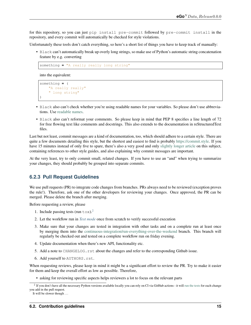for this repository, so you can just pip install pre-commit followed by pre-commit install in the repository, and every commit will automatically be checked for style violations.

Unfortunately these tools don't catch everything, so here's a short list of things you have to keep track of manually:

• Black can't automatically break up overly long strings, so make use of Python's automatic string concatenation feature by e.g. converting

something **=** "A really really long string"

into the equivalent:

```
something = (
    "A really really"
    " long string"
)
```
- Black also can't check whether you're using readable names for your variables. So please don't use abbreviations. Use [readable names.](https://chrisdone.com/posts/german-naming-convention/)
- Black also can't reformat your comments. So please keep in mind that PEP 8 specifies a line length of 72 for free flowing text like comments and docstrings. This also extends to the documentation in reStructuredText files.

Last but not least, commit messages are a kind of documentation, too, which should adhere to a certain style. There are quite a few documents detailing this style, but the shortest and easiest to find is probably [https://commit.style.](https://commit.style) If you have 15 minutes instead of only five to spare, there's also a very good and only [slightly longer article](https://chris.beams.io/posts/git-commit/) on this subject, containing references to other style guides, and also explaining why commit messages are important.

At the very least, try to only commit small, related changes. If you have to use an "and" when trying to summarize your changes, they should probably be grouped into separate commits.

#### **6.2.3 Pull Request Guidelines**

We use pull requests (PR) to integrate code changes from branches. PRs always need to be reviewed (exception proves the rule!). Therefore, ask one of the other developers for reviewing your changes. Once approved, the PR can be merged. Please delete the branch after merging.

Before requesting a review, please

- 1. Include passing tests (run  $\text{to } \infty$ ).<sup>[2](#page-18-0)</sup>
- 2. Let the workflow run in *[Test mode](#page-5-2)* once from scratch to verify successful execution
- 3. Make sure that your changes are tested in integration with other tasks and on a complete run at least once by merging them into the [continuous-integration/run-everything-over-the-weekend](https://github.com/openego/eGon-data/tree/continuous-integration/run-everything-over-the-weekend) branch. This branch will regularly be checked out and tested on a complete workflow run on friday evening.
- 4. Update documentation when there's new API, functionality etc.
- 5. Add a note to CHANGELOG.rst about the changes and refer to the corresponding Github issue.
- 6. Add yourself to AUTHORS.rst.

When requesting reviews, please keep in mind it might be a significant effort to review the PR. Try to make it easier for them and keep the overall effort as low as possible. Therefore,

• asking for reviewing specific aspects helps reviewers a lot to focus on the relevant parts

<span id="page-18-0"></span> $<sup>2</sup>$  If you don't have all the necessary Python versions available locally you can rely on CI via GitHub actions - it will [run the tests](https://github.com/openego/eGon-data/actions?query=workflow%3A%22Tests%2C+code+style+%26+coverage%22) for each change</sup> you add in the pull request.

It will be slower though ...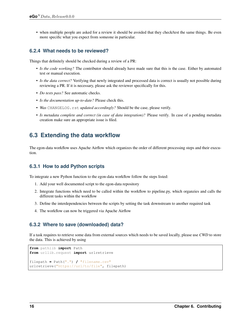• when multiple people are asked for a review it should be avoided that they check/test the same things. Be even more specific what you expect from someone in particular.

### **6.2.4 What needs to be reviewed?**

Things that definitely should be checked during a review of a PR:

- *Is the code working?* The contributor should already have made sure that this is the case. Either by automated test or manual execution.
- *Is the data correct?* Verifying that newly integrated and processed data is correct is usually not possible during reviewing a PR. If it is necessary, please ask the reviewer specifically for this.
- *Do tests pass?* See automatic checks.
- *Is the documentation up-to-date?* Please check this.
- *Was* CHANGELOG.rst *updated accordingly?* Should be the case, please verify.
- *Is metadata complete and correct (in case of data integration)?* Please verify. In case of a pending metadata creation make sure an appropriate issue is filed.

## <span id="page-19-0"></span>**6.3 Extending the data workflow**

The egon-data workflow uses Apache Airflow which organizes the order of different processing steps and their execution.

#### **6.3.1 How to add Python scripts**

To integrate a new Python function to the egon-data workflow follow the steps listed:

- 1. Add your well documented script to the egon-data repository
- 2. Integrate functions which need to be called within the workflow to pipeline.py, which organzies and calls the different tasks within the workflow
- 3. Define the interdependencies between the scripts by setting the task downstream to another required task
- 4. The workflow can now be triggered via Apache Airflow

#### **6.3.2 Where to save (downloaded) data?**

If a task requires to retrieve some data from external sources which needs to be saved locally, please use *CWD* to store the data. This is achieved by using

```
from pathlib import Path
from urllib.request import urlretrieve
filepath = Path(".") / "filename.csv"
urlretrieve("https://url/to/file", filepath)
```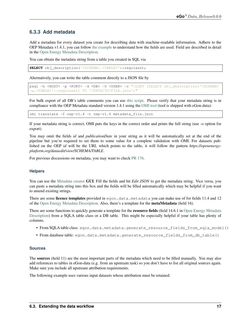### **6.3.3 Add metadata**

Add a metadata for every dataset you create for describing data with machine-readable information. Adhere to the OEP Metadata v1.4.1, you can follow [the example](https://github.com/OpenEnergyPlatform/oemetadata/blob/develop/metadata/latest/example.json) to understand how the fields are used. Field are described in detail in the [Open Energy Metadata Description.](https://github.com/OpenEnergyPlatform/oemetadata/blob/develop/metadata/v141/metadata_key_description.md)

You can obtain the metadata string from a table you created in SQL via

```
SELECT obj_description('<SCHEMA>.<TABLE>'::regclass);
```
Alternatively, you can write the table comment directly to a JSON file by

```
psql -h <HOST> -p <PORT> -d <DB> -U <USER> -c "\COPY (SELECT obj_description('<SCHEMA>
˓→.<TABLE>'::regclass)) TO '/PATH/TO/FILE.json';"
```
For bulk export of all DB's table comments you can use [this script.](https://gist.github.com/nesnoj/86145999eca8182f43c2bca36bcc984f) Please verify that your metadata string is in compliance with the OEP Metadata standard version 1.4.1 using the [OMI tool](https://github.com/OpenEnergyPlatform/omi) (tool is shipped with eGon-data):

omi translate -f oep-v1.4 -t oep-v1.4 metadata\_file.json

If your metadata string is correct, OMI puts the keys in the correct order and prints the full string (use *-o* option for export).

You may omit the fields *id* and *publicationDate* in your string as it will be automatically set at the end of the pipeline but you're required to set them to some value for a complete validation with OMI. For datasets published on the OEP *id* will be the URL which points to the table, it will follow the pattern *https://openenergyplatform.org/dataedit/view/SCHEMA/TABLE*.

For previous discussions on metadata, you may want to check [PR 176.](https://github.com/openego/eGon-data/pull/176)

#### **Helpers**

You can use the [Metadata creator](https://meta.rl-institut.de/meta_creator/141) **GUI**. Fill the fields and hit *Edit JSON* to get the metadata string. Vice versa, you can paste a metadata string into this box and the fields will be filled automatically which may be helpful if you want to amend existing strings.

There are some licence templates provided in egon.data.metadata you can make use of for fields 11.4 and 12 of the [Open Energy Metadata Description.](https://github.com/OpenEnergyPlatform/oemetadata/blob/develop/metadata/v141/metadata_key_description.md) Also, there's a template for the metaMetadata (field 16).

There are some functions to quickly generate a template for the resource fields (field 14.6.1 in [Open Energy Metadata](https://github.com/OpenEnergyPlatform/oemetadata/blob/develop/metadata/v141/metadata_key_description.md) [Description\)](https://github.com/OpenEnergyPlatform/oemetadata/blob/develop/metadata/v141/metadata_key_description.md) from a SQLA table class or a DB table. This might be especially helpful if your table has plenty of columns.

- From SQLA table class: egon.data.metadata.generate\_resource\_fields\_from\_sqla\_model()
- From database table: egon.data.metadata.generate\_resource\_fields\_from\_db\_table()

#### **Sources**

The sources (field 11) are the most important parts of the metadata which need to be filled manually. You may also add references to tables in eGon-data (e.g. from an upstream task) so you don't have to list all original sources again. Make sure you include all upstream attribution requirements.

The following example uses various input datasets whose attribution must be retained: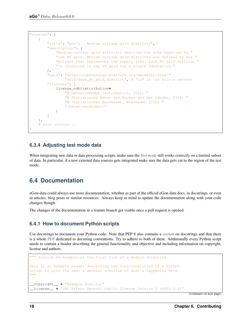```
"sources": [
   {
        "title": "eGo^n - Medium voltage grid districts",
        "description": (
            "Medium-voltage grid districts describe the area supplied by "
            "one MV grid. Medium-voltage grid districts are defined by one "
            "polygon that represents the supply area. Each MV grid district "
            "is connected to the HV grid via a single substation."
       ),
        "path": "https://openenergy-platform.org/dataedit/view/"
                "grid/egon_mv_grid_district", # "id" in the source dataset
        "licenses": [
            license_odbl(attribution=
                "© OpenStreetMap contributors, 2021; "
                "© Statistische Ämter des Bundes und der Länder, 2014; "
                "© Statistisches Bundesamt, Wiesbaden 2015; "
                "(Daten verändert)"
            )
        ]
   },
    # more sources...
]
```
### **6.3.4 Adjusting test mode data**

When integrating new data or data processing scripts, make sure the *[Test mode](#page-5-2)* still works correctly on a limited subset of data. In particular, if a new external data sources gets integrated make sure the data gets cut to the region of the test mode.

## <span id="page-21-0"></span>**6.4 Documentation**

eGon-data could always use more documentation, whether as part of the official eGon-data docs, in docstrings, or even in articles, blog posts or similar resources. Always keep in mind to update the documentation along with your code changes though.

The changes of the documentation in a feature branch get visible once a pull request is opened.

### **6.4.1 How to document Python scripts**

Use docstrings to document your Python code. Note that PEP 8 also contains a [section](https://www.python.org/dev/peps/pep-0008/#documentation-strings) on docstrings and that there is a whole [PEP](https://www.python.org/dev/peps/pep-0257/) dedicated to docstring conventions. Try to adhere to both of them. Additionally every Python script needs to contain a header describing the general functionality and objective and including information on copyright, license and authors.

```
""" Provide an example of the first line of a module docstring.
This is an example header describing the functionalities of a Python
script to give the user a general overview of what's happening here.
"" "" ""
__copyright__ = "Example Institut"
 __license__ = "GNU Affero General Public License Version 3 (AGPL-3.0)"
```
(continues on next page)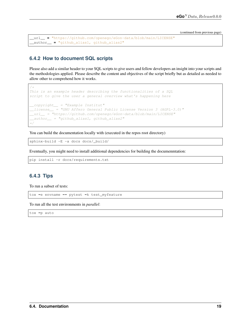(continued from previous page)

```
__url__ = "https://github.com/openego/eGon-data/blob/main/LICENSE"
__author__ = "github_alias1, github_alias2"
```
### **6.4.2 How to document SQL scripts**

Please also add a similar header to your SQL scripts to give users and fellow developers an insight into your scripts and the methodologies applied. Please describe the content and objectives of the script briefly but as detailed as needed to allow other to comprehend how it works.

```
/*
This is an example header describing the functionalities of a SQL
script to give the user a general overview what's happening here
\_\_copyright \_\_ = "Example \ Institute"__license__ = "GNU Affero General Public License Version 3 (AGPL-3.0)"
__url__ = "https://github.com/openego/eGon-data/blob/main/LICENSE"
_2author = "github_alias1, github_alias2"
*/
```
You can build the documentation locally with (executed in the repos root directory)

sphinx-build -E -a docs docs/\_build/

Eventually, you might need to install additional dependencies for building the documenmtation:

pip install -r docs/requirements.txt

#### **6.4.3 Tips**

To run a subset of tests:

tox **-**e envname **--** pytest **-**k test\_myfeature

To run all the test environments in *parallel*:

tox **-**p auto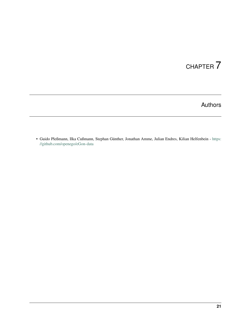# Authors

<span id="page-24-0"></span>• Guido Pleßmann, Ilka Cußmann, Stephan Günther, Jonathan Amme, Julian Endres, Kilian Helfenbein - [https:](https://github.com/openego/eGon-data) [//github.com/openego/eGon-data](https://github.com/openego/eGon-data)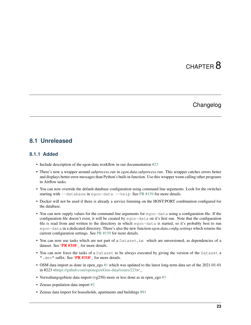# CHAPTER<sup>8</sup>

## Changelog

### <span id="page-26-1"></span><span id="page-26-0"></span>**8.1 Unreleased**

#### **8.1.1 Added**

- Include description of the egon-data workflow in our documentation [#23](https://github.com/openego/eGon-data/issues/23)
- There's now a wrapper around *subprocess.run* in *egon.data.subprocess.run*. This wrapper catches errors better and displays better error messages than Python's built-in function. Use this wrapper wenn calling other programs in Airflow tasks.
- You can now override the default database configuration using command line arguments. Look for the switches starting with --database in egon-data --help. See [PR #159](https://github.com/openego/eGon-data/pull/159) for more details.
- Docker will not be used if there is already a service listening on the HOST:PORT combination configured for the database.
- You can now supply values for the command line arguments for egon-data using a configuration file. If the configuration file doesn't exist, it will be created by egon-data on it's first run. Note that the configuration file is read from and written to the directtory in which egon-data is started, so it's probably best to run egon-data in a dedicated directory. There's also the new function *egon.data.config.settings* which returns the current configuration settings. See [PR #159](https://github.com/openego/eGon-data/pull/159) for more details.
- You can now use tasks which are not part of a Dataset, i.e. which are unversioned, as dependencies of a dataset. See 'PR #318' for more details.
- You can now force the tasks of a Dataset to be always executed by giving the version of the Dataset a ". dev" suffix. See 'PR #318' for more details.
- OSM data import as done in open ego [#1](https://github.com/openego/eGon-data/issues/1) which was updated to the latest long-term data set of the 2021-01-01 in #223 [<https://github.com/openego/eGon-data/issues/223>](https://github.com/openego/eGon-data/issues/223)'\_
- Verwaltungsgebiete data import (vg250) more or less done as in open\_ego [#3](https://github.com/openego/eGon-data/issues/3)
- Zensus population data import [#2](https://github.com/openego/eGon-data/issues/2)
- Zensus data import for households, apartments and buildings [#91](https://github.com/openego/eGon-data/issues/91)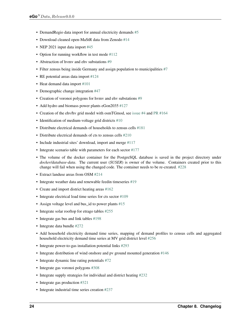- DemandRegio data import for annual electricity demands [#5](https://github.com/openego/eGon-data/issues/5)
- Download cleaned open-MaStR data from Zenodo [#14](https://github.com/openego/eGon-data/issues/14)
- NEP 2021 input data import [#45](https://github.com/openego/eGon-data/issues/45)
- Option for running workflow in test mode [#112](https://github.com/openego/eGon-data/issues/112)
- Abstraction of hymy and ehy substations [#9](https://github.com/openego/eGon-data/issues/9)
- Filter zensus being inside Germany and assign population to municipalities [#7](https://github.com/openego/eGon-data/issues/7)
- RE potential areas data import [#124](https://github.com/openego/eGon-data/issues/124)
- Heat demand data import [#101](https://github.com/openego/eGon-data/issues/101)
- Demographic change integration [#47](https://github.com/openego/eGon-data/issues/47)
- Creation of voronoi polygons for hymy and ehv substations [#9](https://github.com/openego/eGon-data/issues/9)
- Add hydro and biomass power plants eGon2035 [#127](https://github.com/openego/eGon-data/issues/127)
- Creation of the ehv/hv grid model with osmTGmod, see [issue #4](https://github.com/openego/eGon-data/issues/4) and [PR #164](https://github.com/openego/eGon-data/pull/164)
- Identification of medium-voltage grid districts [#10](https://github.com/openego/eGon-data/pull/10)
- Distribute electrical demands of households to zensus cells [#181](https://github.com/openego/eGon-data/issues/181)
- Distribute electrical demands of cts to zensus cells [#210](https://github.com/openego/eGon-data/issues/210)
- Include industrial sites' download, import and merge [#117](https://github.com/openego/eGon-data/issues/117)
- Integrate scenario table with parameters for each sector [#177](https://github.com/openego/eGon-data/issues/177)
- The volume of the docker container for the PostgreSQL database is saved in the project directory under *docker/database-data*. The current user (*\$USER*) is owner of the volume. Containers created prior to this change will fail when using the changed code. The container needs to be re-created. [#228](https://github.com/openego/eGon-data/issues/228)
- Extract landuse areas from OSM [#214](https://github.com/openego/eGon-data/issues/214)
- Integrate weather data and renewable feedin timeseries [#19](https://github.com/openego/eGon-data/issues/19)
- Create and import district heating areas [#162](https://github.com/openego/eGon-data/issues/162)
- Integrate electrical load time series for cts sector [#109](https://github.com/openego/eGon-data/issues/109)
- Assign voltage level and bus\_id to power plants [#15](https://github.com/openego/eGon-data/issues/15)
- Integrate solar rooftop for etrago tables [#255](https://github.com/openego/eGon-data/issues/255)
- Integrate gas bus and link tables [#198](https://github.com/openego/eGon-data/issues/198)
- Integrate data bundle [#272](https://github.com/openego/eGon-data/issues/272)
- Add household electricity demand time series, mapping of demand profiles to census cells and aggregated household electricity demand time series at MV grid district level [#256](https://github.com/openego/eGon-data/issues/256)
- Integrate power-to-gas installation potential links [#293](https://github.com/openego/eGon-data/issues/293)
- Integrate distribution of wind onshore and pv ground mounted generation [#146](https://github.com/openego/eGon-data/issues/146)
- Integrate dynamic line rating potentials [#72](https://github.com/openego/eGon-data/issues/72)
- Integrate gas voronoi polygons [#308](https://github.com/openego/eGon-data/issues/308)
- Integrate supply strategies for individual and district heating [#232](https://github.com/openego/eGon-data/issues/232)
- Integrate gas production [#321](https://github.com/openego/eGon-data/issues/321)
- Integrate industrial time series creation [#237](https://github.com/openego/eGon-data/issues/237)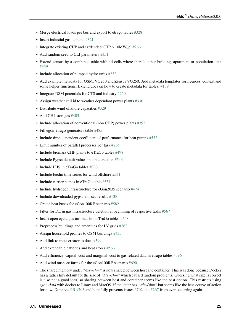- Merge electrical loads per bus and export to etrago tables [#328](https://github.com/openego/eGon-data/issues/328)
- Insert industial gas demand [#321](https://github.com/openego/eGon-data/issues/358)
- Integrate existing CHP and extdended CHP > 10MW\_el [#266](https://github.com/openego/eGon-data/issues/266)
- Add random seed to CLI parameters [#351](https://github.com/openego/eGon-data/issues/351)
- Extend zensus by a combined table with all cells where there's either building, apartment or population data [#359](https://github.com/openego/eGon-data/issues/359)
- Include allocation of pumped hydro units [#332](https://github.com/openego/eGon-data/issues/332)
- Add example metadata for OSM, VG250 and Zensus VG250. Add metadata templates for licences, context and some helper functions. Extend docs on how to create metadata for tables. [#139](https://github.com/openego/eGon-data/issues/139)
- Integrate DSM potentials for CTS and industry [#259](https://github.com/openego/eGon-data/issues/259)
- Assign weather cell id to weather dependant power plants [#330](https://github.com/openego/eGon-data/issues/330)
- Distribute wind offshore capacities [#329](https://github.com/openego/eGon-data/issues/329)
- Add CH4 storages [#405](https://github.com/openego/eGon-data/issues/405)
- Include allocation of conventional (non CHP) power plants [#392](https://github.com/openego/eGon-data/issues/392)
- Fill egon-etrago-generators table [#485](https://github.com/openego/eGon-data/issues/485)
- Include time-dependent coefficient of performance for heat pumps [#532](https://github.com/openego/eGon-data/issues/532)
- Limit number of parallel processes per task [#265](https://github.com/openego/eGon-data/issues/265)
- Include biomass CHP plants to eTraGo tables [#498](https://github.com/openego/eGon-data/issues/498)
- Include Pypsa default values in table creation [#544](https://github.com/openego/eGon-data/issues/544)
- Include PHS in eTraGo tables [#333](https://github.com/openego/eGon-data/issues/333)
- Include feedin time series for wind offshore [#531](https://github.com/openego/eGon-data/issues/531)
- Include carrier names in eTraGo table [#551](https://github.com/openego/eGon-data/issues/551)
- Include hydrogen infrastructure for eGon2035 scenario [#474](https://github.com/openego/eGon-data/issues/474)
- Include downloaded pypsa-eur-sec results [#138](https://github.com/openego/eGon-data/issues/138)
- Create heat buses for eGon100RE scenario [#582](https://github.com/openego/eGon-data/issues/582)
- Filter for DE in gas infrastructure deletion at beginning of respective tasks [#567](https://github.com/openego/eGon-data/issues/567)
- Insert open cycle gas turbines into eTraGo tables [#548](https://github.com/openego/eGon-data/issues/548)
- Preprocess buildings and amenities for LV grids [#262](https://github.com/openego/eGon-data/issues/262)
- Assign household profiles to OSM buildings [#435](https://github.com/openego/eGon-data/issues/435)
- Add link to meta creator to docs [#599](https://github.com/openego/eGon-data/issues/599)
- Add extendable batteries and heat stores [#566](https://github.com/openego/eGon-data/issues/566)
- Add efficiency, capital\_cost and marginal\_cost to gas related data in etrago tables [#596](https://github.com/openego/eGon-data/issues/596)
- Add wind onshore farms for the eGon100RE scenario [#690](https://github.com/openego/eGon-data/issues/690)
- The shared memory under *"/dev/shm"* is now shared between host and container. This was done because Docker has a rather tiny default for the size of *"/dev/shm"* which caused random problems. Guessing what size is correct is also not a good idea, so sharing between host and container seems like the best option. This restricts using *egon-data* with docker to Linux and MacOS, if the latter has *"/dev/shm"* but seems like the best course of action for now. Done via [PR #703](https://github.com/openego/eGon-data/pull/703) and hopefully prevents issues [#702](https://github.com/openego/eGon-data/issues/702) and [#267](https://github.com/openego/eGon-data/issues/267) from ever occurring again.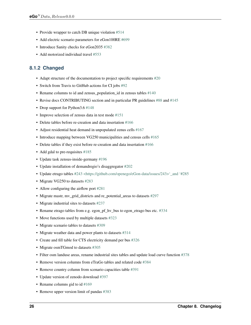- Provide wrapper to catch DB unique violation [#514](https://github.com/openego/eGon-data/issues/514)
- Add electric scenario parameters for eGon100RE [#699](https://github.com/openego/eGon-data/issues/699)
- Introduce Sanity checks for eGon2035 [#382](https://github.com/openego/eGon-data/issues/382)
- Add motorized individual travel [#553](https://github.com/openego/eGon-data/issues/553)

### **8.1.2 Changed**

- Adapt structure of the documentation to project specific requirements [#20](https://github.com/openego/eGon-data/issues/20)
- Switch from Travis to GitHub actions for CI jobs [#92](https://github.com/openego/eGon-data/issues/92)
- Rename columns to id and zensus population id in zensus tables  $#140$
- Revise docs CONTRIBUTING section and in particular PR guidelines [#88](https://github.com/openego/eGon-data/issues/88) and [#145](https://github.com/openego/eGon-data/issues/145)
- Drop support for Python 3.6 [#148](https://github.com/openego/eGon-data/issues/148)
- Improve selection of zensus data in test mode [#151](https://github.com/openego/eGon-data/issues/151)
- Delete tables before re-creation and data insertation [#166](https://github.com/openego/eGon-data/issues/166)
- Adjust residential heat demand in unpopulated zenus cells [#167](https://github.com/openego/eGon-data/issues/167)
- Introduce mapping between VG250 municipalities and census cells [#165](https://github.com/openego/eGon-data/issues/165)
- Delete tables if they exist before re-creation and data insertation [#166](https://github.com/openego/eGon-data/issues/166)
- Add gdal to pre-requisites [#185](https://github.com/openego/eGon-data/issues/185)
- Update task zensus-inside-germany [#196](https://github.com/openego/eGon-data/issues/196)
- Update installation of demandregio's disaggregator [#202](https://github.com/openego/eGon-data/issues/202)
- Update etrago tables [#243 <https://github.com/openego/eGon-data/issues/243>'\\_and '#285](https://github.com/openego/eGon-data/issues/285)
- Migrate VG250 to datasets [#283](https://github.com/openego/eGon-data/issues/283)
- Allow configuring the airflow port [#281](https://github.com/openego/eGon-data/issues/281)
- Migrate mastr, mv\_grid\_districts and re\_potential\_areas to datasets [#297](https://github.com/openego/eGon-data/issues/297)
- Migrate industrial sites to datasets [#237](https://github.com/openego/eGon-data/issues/237)
- Rename etrago tables from e.g. egon\_pf\_hv\_bus to egon\_etrago bus etc. [#334](https://github.com/openego/eGon-data/issues/334)
- Move functions used by multiple datasets [#323](https://github.com/openego/eGon-data/issues/323)
- Migrate scenario tables to datasets [#309](https://github.com/openego/eGon-data/issues/309)
- Migrate weather data and power plants to datasets [#314](https://github.com/openego/eGon-data/issues/314)
- Create and fill table for CTS electricity demand per bus [#326](https://github.com/openego/eGon-data/issues/326)
- Migrate osmTGmod to datasets [#305](https://github.com/openego/eGon-data/issues/305)
- Filter osm landuse areas, rename industrial sites tables and update load curve function [#378](https://github.com/openego/eGon-data/issues/378)
- Remove version columns from eTraGo tables and related code [#384](https://github.com/openego/eGon-data/issues/384)
- Remove country column from scenario capacities table [#391](https://github.com/openego/eGon-data/issues/391)
- Update version of zenodo download [#397](https://github.com/openego/eGon-data/issues/397)
- Rename columns gid to id [#169](https://github.com/openego/eGon-data/issues/169)
- Remove upper version limit of pandas [#383](https://github.com/openego/eGon-data/issues/383)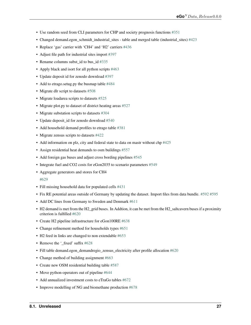- Use random seed from CLI parameters for CHP and society prognosis functions [#351](https://github.com/openego/eGon-data/issues/351)
- Changed demand.egon\_schmidt\_industrial\_sites table and merged table (industrial\_sites) [#423](https://github.com/openego/eGon-data/issues/423)
- Replace 'gas' carrier with 'CH4' and 'H2' carriers [#436](https://github.com/openego/eGon-data/issues/436)
- Adjust file path for industrial sites import [#397](https://github.com/openego/eGon-data/issues/418)
- Rename columns subst id to bus id [#335](https://github.com/openego/eGon-data/issues/335)
- Apply black and isort for all python scripts [#463](https://github.com/openego/eGon-data/issues/463)
- Update deposit id for zenodo download [#397](https://github.com/openego/eGon-data/issues/498)
- Add to etrago.setug.py the busmap table [#484](https://github.com/openego/eGon-data/issues/484)
- Migrate dlr script to datasets [#508](https://github.com/openego/eGon-data/issues/508)
- Migrate loadarea scripts to datasets [#525](https://github.com/openego/eGon-data/issues/525)
- Migrate plot.py to dataset of district heating areas [#527](https://github.com/openego/eGon-data/issues/527)
- Migrate substation scripts to datasets [#304](https://github.com/openego/eGon-data/issues/304)
- Update deposit\_id for zenodo download [#540](https://github.com/openego/eGon-data/issues/540)
- Add household demand profiles to etrago table [#381](https://github.com/openego/eGon-data/issues/381)
- Migrate zensus scripts to datasets [#422](https://github.com/openego/eGon-data/issues/422)
- Add information on plz, city and federal state to data on mastr without chp [#425](https://github.com/openego/eGon-data/issues/425)
- Assign residential heat demands to osm buildings [#557](https://github.com/openego/eGon-data/issues/557)
- Add foreign gas buses and adjust cross bording pipelines [#545](https://github.com/openego/eGon-data/issues/545)
- Integrate fuel and CO2 costs for eGon2035 to scenario parameters [#549](https://github.com/openego/eGon-data/issues/549)
- Aggregate generators and stores for CH4

#### [#629](https://github.com/openego/eGon-data/issues/629)

- Fill missing household data for populated cells [#431](https://github.com/openego/eGon-data/issues/431)
- Fix RE potential areas outside of Germany by updating the dataset. Import files from data bundle. [#592](https://github.com/openego/eGon-data/issues/592) [#595](https://github.com/openego/eGon-data/issues/595)
- Add DC lines from Germany to Sweden and Denmark [#611](https://github.com/openego/eGon-data/issues/611)
- H2 demand is met from the H2 grid buses. In Addtion, it can be met from the H2 saltcavern buses if a proximity criterion is fulfilled [#620](https://github.com/openego/eGon-data/issues/620)
- Create H2 pipeline infrastructure for eGon100RE [#638](https://github.com/openego/eGon-data/issues/638)
- Change refinement method for households types [#651](https://github.com/openego/eGon-data/issues/#651)
- H2 feed in links are changed to non extendable [#653](https://github.com/openego/eGon-data/issues/653)
- Remove the '\_fixed' suffix [#628](https://github.com/openego/eGon-data/issues/628)
- Fill table demand.egon\_demandregio\_zensus\_electricity after profile allocation [#620](https://github.com/openego/eGon-data/issues/586)
- Change method of building assignment [#663](https://github.com/openego/eGon-data/issues/663)
- Create new OSM residential building table [#587](https://github.com/openego/eGon-data/issues/587)
- Move python-operators out of pipeline [#644](https://github.com/openego/eGon-data/issues/644)
- Add annualized investment costs to eTraGo tables [#672](https://github.com/openego/eGon-data/issues/672)
- Improve modelling of NG and biomethane production [#678](https://github.com/openego/eGon-data/issues/678)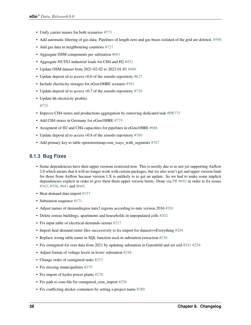- Unify carrier names for both scenarios [#575](https://github.com/openego/eGon-data/issues/575)
- Add automatic filtering of gas data: Pipelines of length zero and gas buses isolated of the grid are deleted. [#590](https://github.com/openego/eGon-data/issues/590)
- Add gas data in neighbouring countries [#727](https://github.com/openego/eGon-data/issues/727)
- Aggregate DSM components per substation [#661](https://github.com/openego/eGon-data/issues/661)
- Aggregate NUTS3 industrial loads for CH4 and H2 [#452](https://github.com/openego/eGon-data/issues/452)
- Update OSM dataset from 2021-02-02 to 2022-01-01 [#486](https://github.com/openego/eGon-data/issues/486)
- Update deposit id to access v0.6 of the zenodo repository [#627](https://github.com/openego/eGon-data/issues/627)
- Include electricity storages for eGon100RE scenario [#581](https://github.com/openego/eGon-data/issues/581)
- Update deposit id to access v0.7 of the zenodo repository [#736](https://github.com/openego/eGon-data/issues/736)
- Update hh electricity profiles

[#735](https://github.com/openego/eGon-data/issues/735)

- Improve CH4 stores and productions aggregation by removing dedicated task [#PR775](https://github.com/openego/eGon-data/pull/775)
- Add CH4 stores in Germany for eGon100RE [#779](https://github.com/openego/eGon-data/issues/779)
- Assigment of H2 and CH4 capacitites for pipelines in eGon100RE [#686](https://github.com/openego/eGon-data/issues/686)
- Update deposit id to access v0.8 of the zenodo repository [#760](https://github.com/openego/eGon-data/issues/760)
- Add primary key to table openstreetmap.osm\_ways\_with\_segments [#787](https://github.com/openego/eGon-data/issues/787)

### **8.1.3 Bug Fixes**

- Some dependencies have their upper versions restricted now. This is mostly due to us not yet supporting Airflow 2.0 which means that it will no longer work with certain packages, but we also won't get and upper version limit for those from Airflow because version 1.X is unlikely to to get an update. So we had to make some implicit dependencies explicit in order to give them them upper version limits. Done via [PR #692](https://github.com/openego/eGon-data/pull/692) in order to fix issues [#343,](https://github.com/openego/eGon-data/issues/343) [#556,](https://github.com/openego/eGon-data/issues/556) [#641](https://github.com/openego/eGon-data/issues/641) and [#669.](https://github.com/openego/eGon-data/issues/669)
- Heat demand data import [#157](https://github.com/openego/eGon-data/issues/157)
- Substation sequence [#171](https://github.com/openego/eGon-data/issues/171)
- Adjust names of demandregios nuts3 regions according to nuts version 2016 [#201](https://github.com/openego/eGon-data/issues/201)
- Delete zensus buildings, apartments and households in unpopulated cells [#202](https://github.com/openego/eGon-data/issues/202)
- Fix input table of electrical-demands-zensus [#217](https://github.com/openego/eGon-data/issues/217)
- Import heat demand raster files successively to fix import for dataset==Everything [#204](https://github.com/openego/eGon-data/issues/204)
- Replace wrong table name in SQL function used in substation extraction [#236](https://github.com/openego/eGon-data/issues/236)
- Fix osmtgmod for osm data from 2021 by updating substation in Garenfeld and set srid [#241](https://github.com/openego/eGon-data/issues/241) [#258](https://github.com/openego/eGon-data/issues/258)
- Adjust format of voltage levels in hvmv substation [#248](https://github.com/openego/eGon-data/issues/248)
- Change order of osmtgmod tasks [#253](https://github.com/openego/eGon-data/issues/253)
- Fix missing municipalities [#279](https://github.com/openego/eGon-data/issues/279)
- Fix import of hydro power plants [#270](https://github.com/openego/eGon-data/issues/270)
- Fix path to osm-file for osmtgmod\_osm\_import [#258](https://github.com/openego/eGon-data/issues/258)
- Fix conflicting docker containers by setting a project name [#289](https://github.com/openego/eGon-data/issues/289)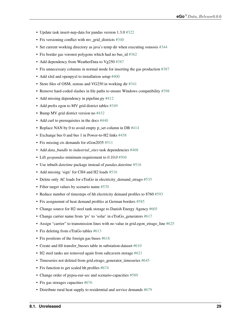- Update task insert-nep-data for pandas version 1.3.0 [#322](https://github.com/openego/eGon-data/issues/322)
- Fix versioning conflict with mv\_grid\_districts [#340](https://github.com/openego/eGon-data/issues/340)
- Set current working directory as java's temp dir when executing osmosis [#344](https://github.com/openego/eGon-data/issues/344)
- Fix border gas voronoi polygons which had no bus\_id [#362](https://github.com/openego/eGon-data/issues/362)
- Add dependency from WeatherData to Vg250 [#387](https://github.com/openego/eGon-data/issues/387)
- Fix unnecessary columns in normal mode for inserting the gas production [#387](https://github.com/openego/eGon-data/issues/390)
- Add xlrd and openpyxl to installation setup [#400](https://github.com/openego/eGon-data/issues/400)
- Store files of OSM, zensus and VG250 in working dir [#341](https://github.com/openego/eGon-data/issues/341)
- Remove hard-coded slashes in file paths to ensure Windows compatibility [#398](https://github.com/openego/eGon-data/issues/398)
- Add missing dependency in pipeline.py [#412](https://github.com/openego/eGon-data/issues/412)
- Add prefix egon to MV grid district tables [#349](https://github.com/openego/eGon-data/issues/349)
- Bump MV grid district version no [#432](https://github.com/openego/eGon-data/issues/432)
- Add curl to prerequisites in the docs [#440](https://github.com/openego/eGon-data/issues/440)
- Replace NAN by 0 to avoid empty p\_set column in DB [#414](https://github.com/openego/eGon-data/issues/414)
- Exchange bus 0 and bus 1 in Power-to-H2 links [#458](https://github.com/openego/eGon-data/issues/458)
- Fix missing cts demands for eGon2035 [#511](https://github.com/openego/eGon-data/issues/511)
- Add *data\_bundle* to *industrial\_sites* task dependencies [#468](https://github.com/openego/eGon-data/issues/468)
- Lift *geopandas* minimum requirement to *0.10.0* [#504](https://github.com/openego/eGon-data/issues/504)
- Use inbuilt *datetime* package instead of *pandas.datetime* [#516](https://github.com/openego/eGon-data/issues/516)
- Add missing 'sign' for CH4 and H2 loads [#516](https://github.com/openego/eGon-data/issues/538)
- Delete only AC loads for eTraGo in electricity\_demand\_etrago [#535](https://github.com/openego/eGon-data/issues/535)
- Filter target values by scenario name [#570](https://github.com/openego/eGon-data/issues/570)
- Reduce number of timesteps of hh electricity demand profiles to 8760 [#593](https://github.com/openego/eGon-data/issues/593)
- Fix assignemnt of heat demand profiles at German borders [#585](https://github.com/openego/eGon-data/issues/585)
- Change source for H2 steel tank storage to Danish Energy Agency [#605](https://github.com/openego/eGon-data/issues/605)
- Change carrier name from 'pv' to 'solar' in eTraGo\_generators [#617](https://github.com/openego/eGon-data/issues/617)
- Assign "carrier" to transmission lines with no value in grid.egon\_etrago\_line [#625](https://github.com/openego/eGon-data/issues/625)
- Fix deleting from eTraGo tables [#613](https://github.com/openego/eGon-data/issues/613)
- Fix positions of the foreign gas buses [#618](https://github.com/openego/eGon-data/issues/618)
- Create and fill transfer\_busses table in substation-dataset [#610](https://github.com/openego/eGon-data/issues/610)
- H2 steel tanks are removed again from saltcavern storage [#621](https://github.com/openego/eGon-data/issues/621)
- Timeseries not deleted from grid.etrago\_generator\_timeseries [#645](https://github.com/openego/eGon-data/issues/645)
- Fix function to get scaled hh profiles [#674](https://github.com/openego/eGon-data/issues/674)
- Change order of pypsa-eur-sec and scenario-capacities [#589](https://github.com/openego/eGon-data/issues/589)
- Fix gas storages capacities [#676](https://github.com/openego/eGon-data/issues/676)
- Distribute rural heat supply to residetntial and service demands [#679](https://github.com/openego/eGon-data/issues/679)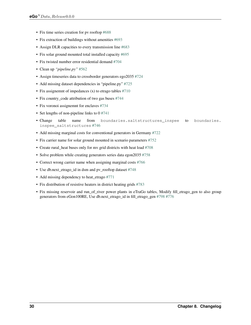- Fix time series creation for pv rooftop [#688](https://github.com/openego/eGon-data/issues/688)
- Fix extraction of buildings without amenities [#693](https://github.com/openego/eGon-data/issues/693)
- Assign DLR capacities to every transmission line [#683](https://github.com/openego/eGon-data/issues/683)
- Fix solar ground mounted total installed capacity [#695](https://github.com/openego/eGon-data/issues/695)
- Fix twisted number error residential demand [#704](https://github.com/openego/eGon-data/issues/704)
- Clean up *"pipeline.py"* [#562](https://github.com/openego/eGon-data/issues/562)
- Assign timeseries data to crossborder generators ego2035 [#724](https://github.com/openego/eGon-data/issues/724)
- Add missing dataset dependencies in "pipeline.py" [#725](https://github.com/openego/eGon-data/issues/725)
- Fix assignemnt of impedances (x) to etrago tables [#710](https://github.com/openego/eGon-data/issues/710)
- Fix country\_code attribution of two gas buses [#744](https://github.com/openego/eGon-data/issues/744)
- Fix voronoi assignemnt for enclaves [#734](https://github.com/openego/eGon-data/issues/734)
- Set lengths of non-pipeline links to 0 [#741](https://github.com/openego/eGon-data/issues/741)
- Change table name from boundaries.saltstructures\_inspee to boundaries. inspee\_saltstructures [#746](https://github.com/openego/eGon-data/issues/746)
- Add missing marginal costs for conventional generators in Germany [#722](https://github.com/openego/eGon-data/issues/722)
- Fix carrier name for solar ground mounted in scenario parameters [#752](https://github.com/openego/eGon-data/issues/752)
- Create rural\_heat buses only for mv grid districts with heat load [#708](https://github.com/openego/eGon-data/issues/708)
- Solve problem while creating generators series data egon2035 [#758](https://github.com/openego/eGon-data/issues/758)
- Correct wrong carrier name when assigning marginal costs [#766](https://github.com/openego/eGon-data/issues/766)
- Use db.next\_etrago\_id in dsm and pv\_rooftop dataset [#748](https://github.com/openego/eGon-data/issues/748)
- Add missing dependency to heat\_etrago [#771](https://github.com/openego/eGon-data/issues/771)
- Fix distribution of resistive heaters in district heating grids [#783](https://github.com/openego/eGon-data/issues/783)
- Fix missing reservoir and run\_of\_river power plants in eTraGo tables, Modify fill\_etrago\_gen to also group generators from eGon100RE, Use db.next\_etrago\_id in fill\_etrago\_gen [#798](https://github.com/openego/eGon-data/issues/798) [#776](https://github.com/openego/eGon-data/issues/776)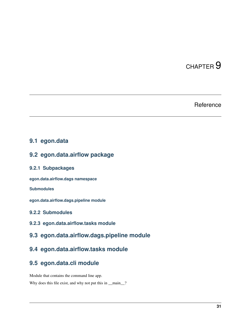## Reference

## <span id="page-34-6"></span><span id="page-34-1"></span><span id="page-34-0"></span>**9.1 egon.data**

### <span id="page-34-2"></span>**9.2 egon.data.airflow package**

### **9.2.1 Subpackages**

**egon.data.airflow.dags namespace**

**Submodules**

**egon.data.airflow.dags.pipeline module**

### **9.2.2 Submodules**

**9.2.3 egon.data.airflow.tasks module**

### <span id="page-34-3"></span>**9.3 egon.data.airflow.dags.pipeline module**

## <span id="page-34-4"></span>**9.4 egon.data.airflow.tasks module**

### <span id="page-34-5"></span>**9.5 egon.data.cli module**

Module that contains the command line app.

Why does this file exist, and why not put this in \_\_main\_?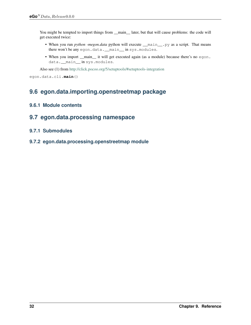<span id="page-35-2"></span>You might be tempted to import things from \_\_main\_\_ later, but that will cause problems: the code will get executed twice:

- When you run *python -megon.data* python will execute *\_\_main\_\_.py* as a script. That means there won't be any egon.data. \_\_main\_\_ in sys.modules.
- When you import <u>main</u> it will get executed again (as a module) because there's no egon. data.\_\_main\_\_ in sys.modules.

Also see (1) from <http://click.pocoo.org/5/setuptools/#setuptools-integration>

```
egon.data.cli.main()
```
## <span id="page-35-0"></span>**9.6 egon.data.importing.openstreetmap package**

### **9.6.1 Module contents**

### <span id="page-35-1"></span>**9.7 egon.data.processing namespace**

### **9.7.1 Submodules**

**9.7.2 egon.data.processing.openstreetmap module**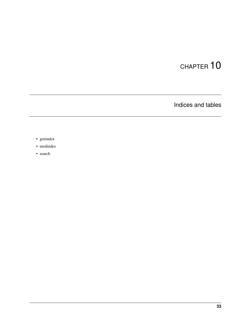Indices and tables

- <span id="page-36-0"></span>• genindex
- modindex
- search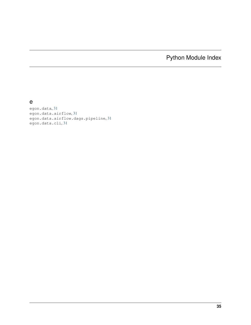# Python Module Index

<span id="page-38-0"></span>e

egon.data, [31](#page-34-2) egon.data.airflow, [31](#page-34-2) egon.data.airflow.dags.pipeline, [31](#page-34-3) egon.data.cli, [31](#page-34-5)